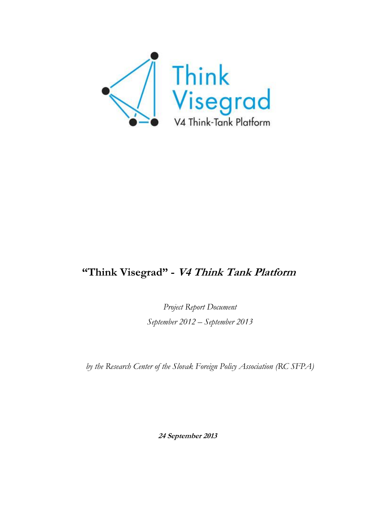

# **"Think Visegrad" - V4 Think Tank Platform**

*Project Report Document September 2012 – September 2013*

*by the Research Center of the Slovak Foreign Policy Association (RC SFPA)*

**24 September 2013**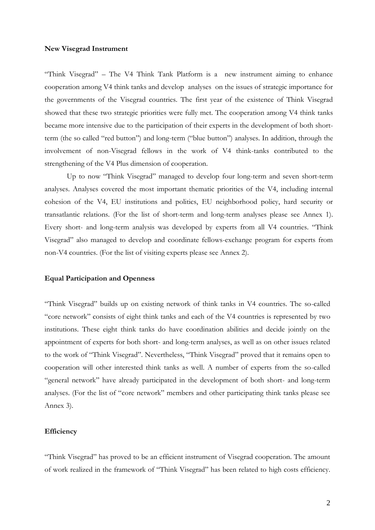#### **New Visegrad Instrument**

"Think Visegrad" – The V4 Think Tank Platform is a new instrument aiming to enhance cooperation among V4 think tanks and develop analyses on the issues of strategic importance for the governments of the Visegrad countries. The first year of the existence of Think Visegrad showed that these two strategic priorities were fully met. The cooperation among V4 think tanks became more intensive due to the participation of their experts in the development of both shortterm (the so called "red button") and long-term ("blue button") analyses. In addition, through the involvement of non-Visegrad fellows in the work of V4 think-tanks contributed to the strengthening of the V4 Plus dimension of cooperation.

Up to now "Think Visegrad" managed to develop four long-term and seven short-term analyses. Analyses covered the most important thematic priorities of the V4, including internal cohesion of the V4, EU institutions and politics, EU neighborhood policy, hard security or transatlantic relations. (For the list of short-term and long-term analyses please see Annex 1). Every short- and long-term analysis was developed by experts from all V4 countries. "Think Visegrad" also managed to develop and coordinate fellows-exchange program for experts from non-V4 countries. (For the list of visiting experts please see Annex 2).

### **Equal Participation and Openness**

"Think Visegrad" builds up on existing network of think tanks in V4 countries. The so-called "core network" consists of eight think tanks and each of the V4 countries is represented by two institutions. These eight think tanks do have coordination abilities and decide jointly on the appointment of experts for both short- and long-term analyses, as well as on other issues related to the work of "Think Visegrad". Nevertheless, "Think Visegrad" proved that it remains open to cooperation will other interested think tanks as well. A number of experts from the so-called "general network" have already participated in the development of both short- and long-term analyses. (For the list of "core network" members and other participating think tanks please see Annex 3).

# **Efficiency**

"Think Visegrad" has proved to be an efficient instrument of Visegrad cooperation. The amount of work realized in the framework of "Think Visegrad" has been related to high costs efficiency.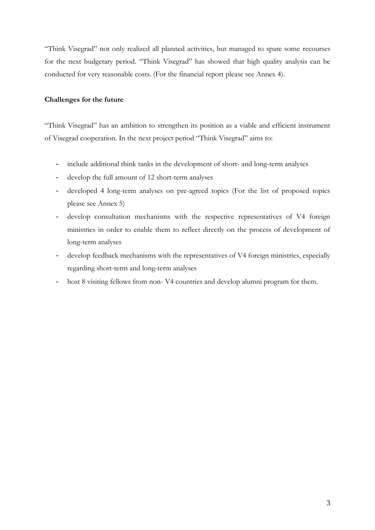"Think Visegrad" not only realized all planned activities, but managed to spare some recourses for the next budgetary period. "Think Visegrad" has showed that high quality analysis can be conducted for very reasonable costs. (For the financial report please see Annex 4).

## **Challenges for the future**

"Think Visegrad" has an ambition to strengthen its position as a viable and efficient instrument of Visegrad cooperation. In the next project period "Think Visegrad" aims to:

- include additional think tanks in the development of short- and long-term analyses
- develop the full amount of 12 short-term analyses
- developed 4 long-term analyses on pre-agreed topics (For the list of proposed topics please see Annex 5)
- develop consultation mechanisms with the respective representatives of V4 foreign ministries in order to enable them to reflect directly on the process of development of long-term analyses
- develop feedback mechanisms with the representatives of V4 foreign ministries, especially regarding short-term and long-term analyses
- host 8 visiting fellows from non- V4 countries and develop alumni program for them.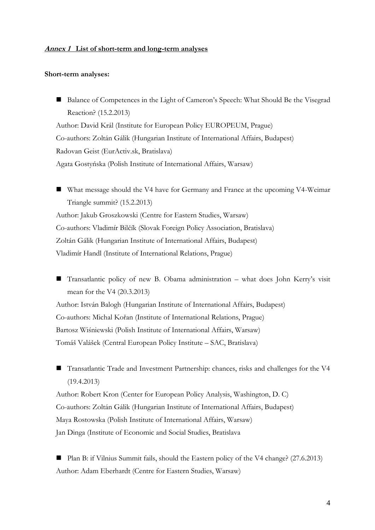## **Annex 1 List of short-term and long-term analyses**

#### **Short-term analyses:**

■ Balance of Competences in the Light of Cameron's Speech: What Should Be the Visegrad Reaction? (15.2.2013) Author: David Král (Institute for European Policy EUROPEUM, Prague) Co-authors: Zoltán Gálik (Hungarian Institute of International Affairs, Budapest) Radovan Geist (EurActiv.sk, Bratislava) Agata Gostyńska (Polish Institute of International Affairs, Warsaw)

■ What message should the V4 have for Germany and France at the upcoming V4-Weimar Triangle summit? (15.2.2013) Author: Jakub Groszkowski (Centre for Eastern Studies, Warsaw) Co-authors: Vladimír Bilčík (Slovak Foreign Policy Association, Bratislava) Zoltán Gálik (Hungarian Institute of International Affairs, Budapest) Vladimír Handl (Institute of International Relations, Prague)

■ Transatlantic policy of new B. Obama administration – what does John Kerry's visit mean for the V4 (20.3.2013)

Author: István Balogh (Hungarian Institute of International Affairs, Budapest) Co-authors: Michal Kořan (Institute of International Relations, Prague) Bartosz Wiśniewski (Polish Institute of International Affairs, Warsaw) Tomáš Valášek (Central European Policy Institute – SAC, Bratislava)

■ Transatlantic Trade and Investment Partnership: chances, risks and challenges for the V4 (19.4.2013)

Author: Robert Kron (Center for European Policy Analysis, Washington, D. C) Co-authors: Zoltán Gálik (Hungarian Institute of International Affairs, Budapest) Maya Rostowska (Polish Institute of International Affairs, Warsaw) Jan Dinga (Institute of Economic and Social Studies, Bratislava

■ Plan B: if Vilnius Summit fails, should the Eastern policy of the V4 change? (27.6.2013) Author: Adam Eberhardt (Centre for Eastern Studies, Warsaw)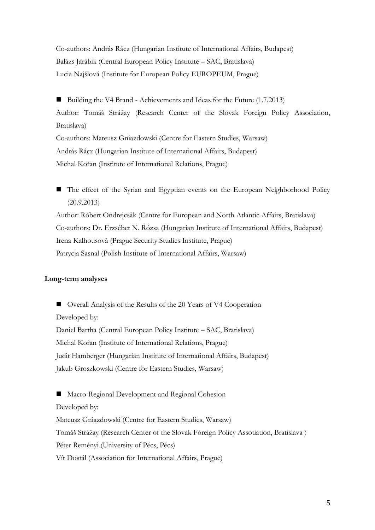Co-authors: András Rácz (Hungarian Institute of International Affairs, Budapest) Balázs Jarábik (Central European Policy Institute – SAC, Bratislava) Lucia Najšlová (Institute for European Policy EUROPEUM, Prague)

■ Building the V4 Brand - Achievements and Ideas for the Future (1.7.2013) Author: Tomáš Strážay (Research Center of the Slovak Foreign Policy Association, Bratislava) Co-authors: Mateusz Gniazdowski (Centre for Eastern Studies, Warsaw) András Rácz (Hungarian Institute of International Affairs, Budapest) Michal Kořan (Institute of International Relations, Prague)

■ The effect of the Syrian and Egyptian events on the European Neighborhood Policy (20.9.2013) Author: Róbert Ondrejcsák (Centre for European and North Atlantic Affairs, Bratislava) Co-authors: Dr. Erzsébet N. Rózsa (Hungarian Institute of International Affairs, Budapest) Irena Kalhousová (Prague Security Studies Institute, Prague) Patrycja Sasnal (Polish Institute of International Affairs, Warsaw)

## **Long-term analyses**

■ Overall Analysis of the Results of the 20 Years of V4 Cooperation Developed by: Daniel Bartha (Central European Policy Institute – SAC, Bratislava) Michal Kořan (Institute of International Relations, Prague) Judit Hamberger (Hungarian Institute of International Affairs, Budapest) Jakub Groszkowski (Centre for Eastern Studies, Warsaw)

■ Macro-Regional Development and Regional Cohesion Developed by: Mateusz Gniazdowski (Centre for Eastern Studies, Warsaw) Tomáš Strážay (Research Center of the Slovak Foreign Policy Assotiation, Bratislava ) Péter Reményi (University of Pécs, Pécs) Vít Dostál (Association for International Affairs, Prague)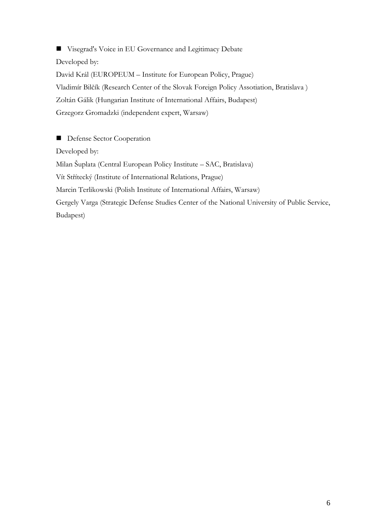**U** Visegrad's Voice in EU Governance and Legitimacy Debate Developed by: David Král (EUROPEUM – Institute for European Policy, Prague) Vladimír Bilčík (Research Center of the Slovak Foreign Policy Assotiation, Bratislava ) Zoltán Gálik (Hungarian Institute of International Affairs, Budapest) Grzegorz Gromadzki (independent expert, Warsaw)

**Defense Sector Cooperation** Developed by: Milan Šuplata (Central European Policy Institute – SAC, Bratislava) Vít Střítecký (Institute of International Relations, Prague) Marcin Terlikowski (Polish Institute of International Affairs, Warsaw) Gergely Varga (Strategic Defense Studies Center of the National University of Public Service, Budapest)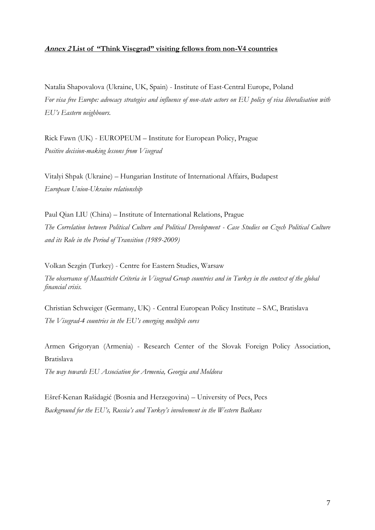## **Annex 2 List of "Think Visegrad" visiting fellows from non-V4 countries**

Natalia Shapovalova (Ukraine, UK, Spain) - Institute of East-Central Europe, Poland *For visa free Europe: advocacy strategies and influence of non-state actors on EU policy of visa liberalisation with EU's Eastern neighbours.*

Rick Fawn (UK) - EUROPEUM – Institute for European Policy, Prague *Positive decision-making lessons from Visegrad*

Vitalyi Shpak (Ukraine) – Hungarian Institute of International Affairs, Budapest *European Union-Ukraine relationship*

Paul Qian LIU (China) – Institute of International Relations, Prague *The Correlation between Political Culture and Political Development - Case Studies on Czech Political Culture and its Role in the Period of Transition (1989-2009)*

Volkan Sezgin (Turkey) - Centre for Eastern Studies, Warsaw *The observance of Maastricht Criteria in Visegrad Group countries and in Turkey in the context of the global financial crisis.*

Christian Schweiger (Germany, UK) - Central European Policy Institute – SAC, Bratislava *The Visegrad-4 countries in the EU's emerging multiple cores*

Armen Grigoryan (Armenia) - Research Center of the Slovak Foreign Policy Association, Bratislava

*The way towards EU Association for Armenia, Georgia and Moldova*

Ešref-Kenan Rašidagić (Bosnia and Herzegovina) – University of Pecs, Pecs *Background for the EU's, Russia's and Turkey's involvement in the Western Balkans*